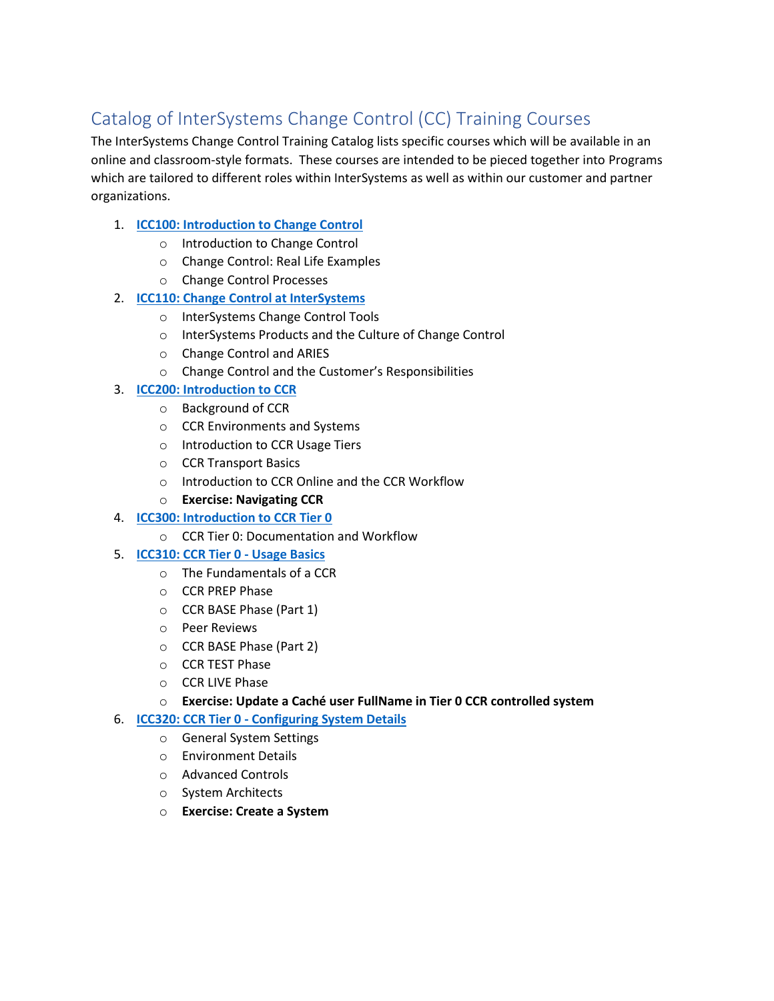# Catalog of InterSystems Change Control (CC) Training Courses

The InterSystems Change Control Training Catalog lists specific courses which will be available in an online and classroom-style formats. These courses are intended to be pieced together into Programs which are tailored to different roles within InterSystems as well as within our customer and partner organizations.

## 1. **[ICC100: Introduction to Change Control](ftp://ftp.intersystems.com/isc/customers/ccrtraining/ICC100(Presentation) Introduction to Change Control.pdf)**

- o Introduction to Change Control
- o Change Control: Real Life Examples
- o Change Control Processes

## 2. **[ICC110: Change Control at InterSystems](ftp://ftp.intersystems.com/isc/customers/ccrtraining/ICC110(Presentation) Change Control at InterSystems.pdf)**

- o InterSystems Change Control Tools
- o InterSystems Products and the Culture of Change Control
- o Change Control and ARIES
- o Change Control and the Customer's Responsibilities

## 3. **[ICC200: Introduction to CCR](ftp://ftp.intersystems.com/isc/customers/ccrtraining/ICC200(Presentation) Introduction to CCR.pdf)**

- o Background of CCR
- o CCR Environments and Systems
- o Introduction to CCR Usage Tiers
- o CCR Transport Basics
- o Introduction to CCR Online and the CCR Workflow
- o **Exercise: Navigating CCR**
- 4. **[ICC300: Introduction to CCR Tier 0](ftp://ftp.intersystems.com/isc/customers/ccrtraining/ICC300(Presentation) Introduction to CCR Tier 0.pdf)**
	- o CCR Tier 0: Documentation and Workflow

#### 5. **[ICC310: CCR Tier 0](ftp://ftp.intersystems.com/isc/customers/ccrtraining/ICC310(Presentation) CCR Tier 0 - Usage Basics.pdf) - Usage Basics**

- o The Fundamentals of a CCR
- o CCR PREP Phase
- o CCR BASE Phase (Part 1)
- o Peer Reviews
- o CCR BASE Phase (Part 2)
- o CCR TEST Phase
- o CCR LIVE Phase
- o **Exercise: Update a Caché user FullName in Tier 0 CCR controlled system**
- 6. **ICC320: CCR Tier 0 - [Configuring System Details](ftp://ftp.intersystems.com/isc/customers/ccrtraining/ICC320(Presentation) CCR Tier 0  Configuring System Details.pdf)**
	- o General System Settings
	- o Environment Details
	- o Advanced Controls
	- o System Architects
	- o **Exercise: Create a System**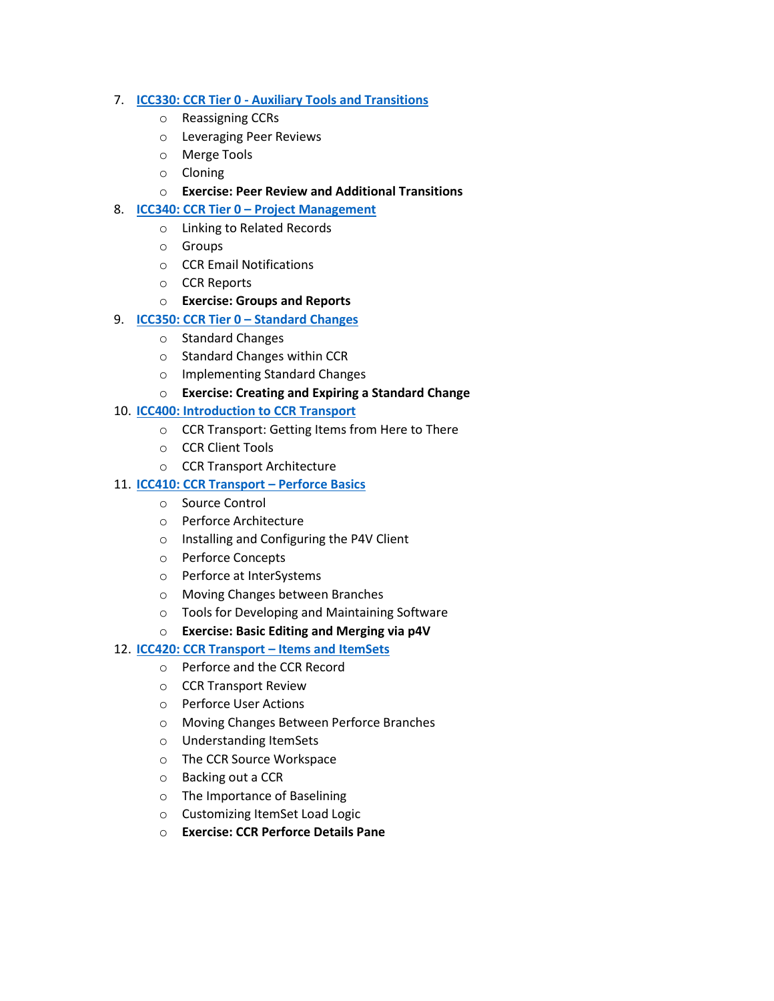#### 7. **ICC330: CCR Tier 0 - [Auxiliary Tools and Transitions](ftp://ftp.intersystems.com/isc/customers/ccrtraining/ICC330(Presentation) CCR Tier 0 - Auxiliary Tools and Transitions.pdf)**

- o Reassigning CCRs
- o Leveraging Peer Reviews
- o Merge Tools
- o Cloning
- o **Exercise: Peer Review and Additional Transitions**
- 8. **ICC340: CCR Tier 0 – [Project Management](ftp://ftp.intersystems.com/isc/customers/ccrtraining/ICC340(Presentation) CCR Tier 0  Project Management.pdf)**
	- o Linking to Related Records
	- o Groups
	- o CCR Email Notifications
	- o CCR Reports
	- o **Exercise: Groups and Reports**
- 9. **[ICC350: CCR Tier 0](ftp://ftp.intersystems.com/isc/customers/ccrtraining/ICC350(Presentation) CCR Tier 0  Standard Changes.pdf) – Standard Changes**
	- o Standard Changes
	- o Standard Changes within CCR
	- o Implementing Standard Changes
	- o **Exercise: Creating and Expiring a Standard Change**
- 10. **[ICC400: Introduction to CCR Transport](ftp://ftp.intersystems.com/isc/customers/ccrtraining/ICC400(Presentation) Introduction to CCR Transport.pdf)**
	- o CCR Transport: Getting Items from Here to There
	- o CCR Client Tools
	- o CCR Transport Architecture

## 11. **[ICC410: CCR Transport](ftp://ftp.intersystems.com/isc/customers/ccrtraining/ICC410(Presentation) CCR Transport - Perforce Basics.pdf) – Perforce Basics**

- o Source Control
- o Perforce Architecture
- o Installing and Configuring the P4V Client
- o Perforce Concepts
- o Perforce at InterSystems
- o Moving Changes between Branches
- o Tools for Developing and Maintaining Software
- o **Exercise: Basic Editing and Merging via p4V**

## 12. **[ICC420: CCR Transport](ftp://ftp.intersystems.com/isc/customers/ccrtraining/ICC420(Presentation) CCR Transport - Items and ItemSets.pdf) – Items and ItemSets**

- o Perforce and the CCR Record
- o CCR Transport Review
- o Perforce User Actions
- o Moving Changes Between Perforce Branches
- o Understanding ItemSets
- o The CCR Source Workspace
- o Backing out a CCR
- o The Importance of Baselining
- o Customizing ItemSet Load Logic
- o **Exercise: CCR Perforce Details Pane**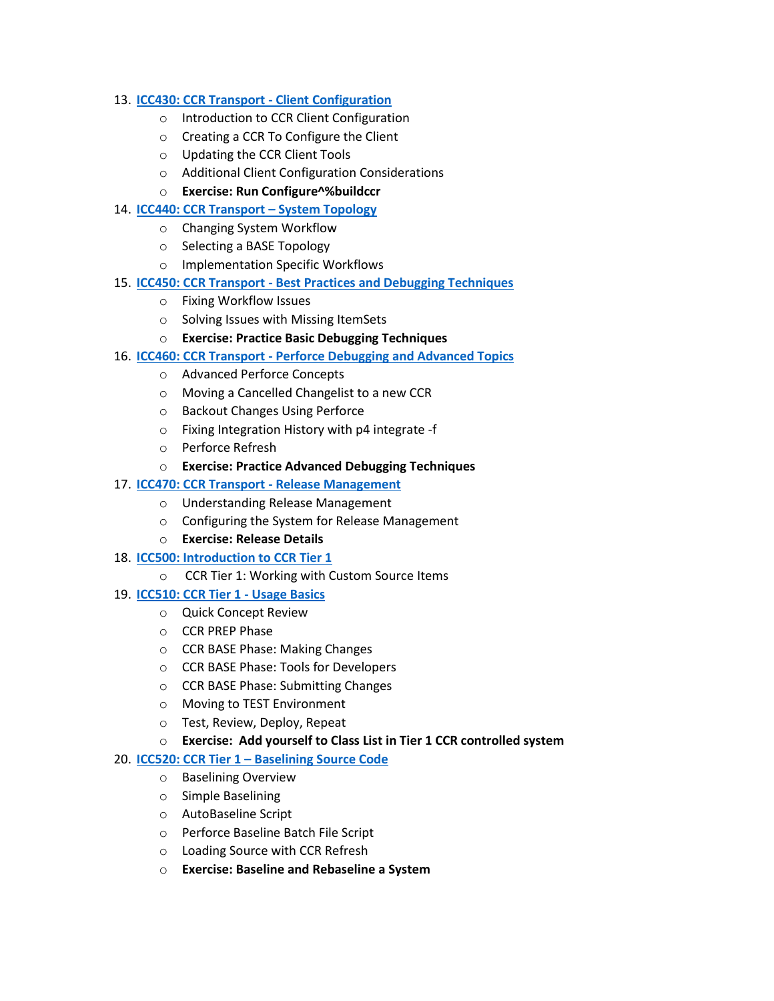#### 13. **[ICC430: CCR Transport -](ftp://ftp.intersystems.com/isc/customers/ccrtraining/ICC430(Presentation) CCR Transport - Client Configuration.pdf) Client Configuration**

- o Introduction to CCR Client Configuration
- o Creating a CCR To Configure the Client
- o Updating the CCR Client Tools
- o Additional Client Configuration Considerations
- o **Exercise: Run Configure^%buildccr**

#### 14. **[ICC440: CCR Transport](ftp://ftp.intersystems.com/isc/customers/ccrtraining/ICC440(Presentation)  CCR Transport - System Topology.pdf) – System Topology**

- o Changing System Workflow
- o Selecting a BASE Topology
- o Implementation Specific Workflows
- 15. **ICC450: CCR Transport - [Best Practices and Debugging Techniques](ftp://ftp.intersystems.com/isc/customers/ccrtraining/ICC450(Presentation) CCR Transport  Best Practices, Debugging Techniques.pdf)**
	- o Fixing Workflow Issues
	- o Solving Issues with Missing ItemSets
	- o **Exercise: Practice Basic Debugging Techniques**
- 16. **ICC460: CCR Transport - [Perforce Debugging and Advanced Topics](ftp://ftp.intersystems.com/isc/customers/ccrtraining/ICC460(Presentation) CCR Transport  Perforce Debugging Advanced Topics.pdf)**
	- o Advanced Perforce Concepts
	- o Moving a Cancelled Changelist to a new CCR
	- o Backout Changes Using Perforce
	- o Fixing Integration History with p4 integrate -f
	- o Perforce Refresh
	- o **Exercise: Practice Advanced Debugging Techniques**

## 17. **[ICC470: CCR Transport](ftp://ftp.intersystems.com/isc/customers/ccrtraining/ICC470(Presentation) CCR Transport - Release Management.pdf) - Release Management**

- o Understanding Release Management
- o Configuring the System for Release Management
- o **Exercise: Release Details**
- 18. **[ICC500: Introduction to CCR Tier 1](ftp://ftp.intersystems.com/isc/customers/ccrtraining/ICC500(Presentation) Introduction to CCR Tier 1.pdf)**
	- o CCR Tier 1: Working with Custom Source Items

#### 19. **[ICC510: CCR Tier 1 -](ftp://ftp.intersystems.com/isc/customers/ccrtraining/ICC510(Presentation) CCR Tier 1 - Usage Basics.pdf) Usage Basics**

- o Quick Concept Review
- o CCR PREP Phase
- o CCR BASE Phase: Making Changes
- o CCR BASE Phase: Tools for Developers
- o CCR BASE Phase: Submitting Changes
- o Moving to TEST Environment
- o Test, Review, Deploy, Repeat
- o **Exercise: Add yourself to Class List in Tier 1 CCR controlled system**

#### 20. **ICC520: CCR Tier 1 – [Baselining Source Code](ftp://ftp.intersystems.com/isc/customers/ccrtraining/ICC520(Presentation) CCR Tier 1 - Baselining Source Code.pdf)**

- o Baselining Overview
- o Simple Baselining
- o AutoBaseline Script
- o Perforce Baseline Batch File Script
- o Loading Source with CCR Refresh
- o **Exercise: Baseline and Rebaseline a System**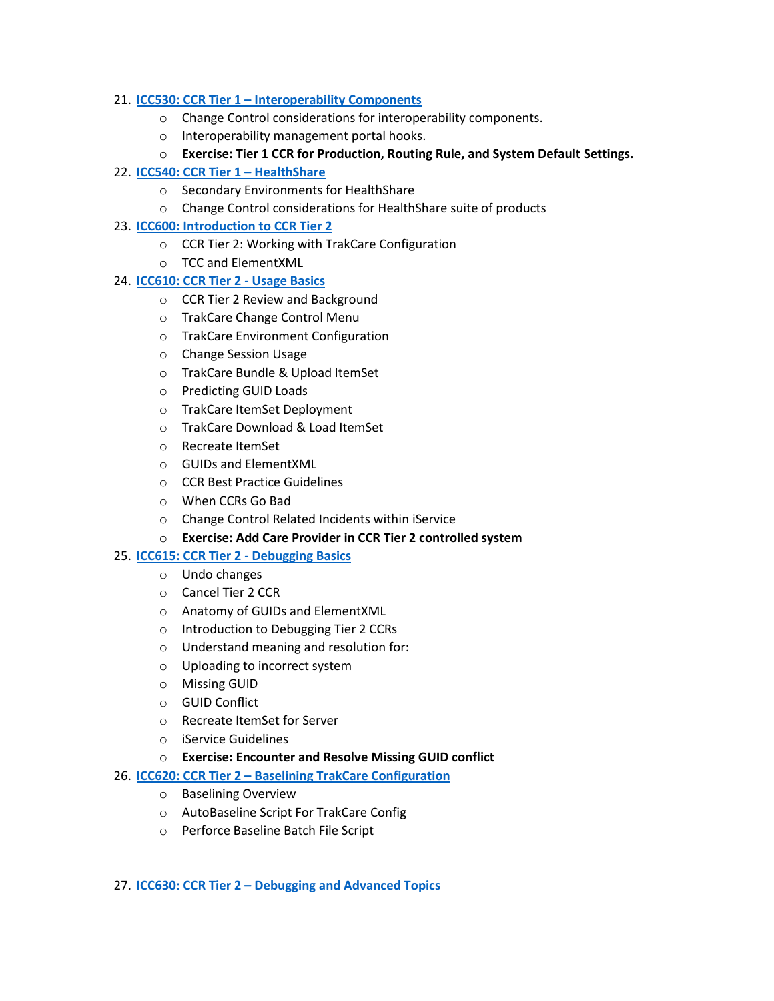#### 21. **ICC530: CCR Tier 1 – [Interoperability Components](ftp://ftp.intersystems.com/isc/customers/ccrtraining/ICC530(Presentation) CCR Tier 1 - Interoperability Components.pdf)**

- o Change Control considerations for interoperability components.
- o Interoperability management portal hooks.
- o **Exercise: Tier 1 CCR for Production, Routing Rule, and System Default Settings.**

#### 22. **[ICC540: CCR Tier 1](ftp://ftp.intersystems.com/isc/customers/ccrtraining/ICC540(Presentation) CCR Tier 1 - HealthShare.pdf) – HealthShare**

- o Secondary Environments for HealthShare
- o Change Control considerations for HealthShare suite of products

#### 23. **[ICC600: Introduction to CCR Tier 2](ftp://ftp.intersystems.com/isc/customers/ccrtraining/ICC600(Presentation) Introduction to CCR Tier 2.pdf)**

- o CCR Tier 2: Working with TrakCare Configuration
- o TCC and ElementXML

#### 24. **[ICC610: CCR Tier 2](ftp://ftp.intersystems.com/isc/customers/ccrtraining/ICC610(Presentation) CCR Tier 2 - Usage Basics.pdf) - Usage Basics**

- o CCR Tier 2 Review and Background
- o TrakCare Change Control Menu
- o TrakCare Environment Configuration
- o Change Session Usage
- o TrakCare Bundle & Upload ItemSet
- o Predicting GUID Loads
- o TrakCare ItemSet Deployment
- o TrakCare Download & Load ItemSet
- o Recreate ItemSet
- o GUIDs and ElementXML
- o CCR Best Practice Guidelines
- o When CCRs Go Bad
- o Change Control Related Incidents within iService
- o **Exercise: Add Care Provider in CCR Tier 2 controlled system**

## 25. **[ICC615: CCR Tier 2 -](ftp://ftp.intersystems.com/isc/customers/ccrtraining/ICC615(Presentation) CCR Tier 2 - Debugging Basics.pdf) Debugging Basics**

- o Undo changes
- o Cancel Tier 2 CCR
- o Anatomy of GUIDs and ElementXML
- o Introduction to Debugging Tier 2 CCRs
- o Understand meaning and resolution for:
- o Uploading to incorrect system
- o Missing GUID
- o GUID Conflict
- o Recreate ItemSet for Server
- o iService Guidelines
- o **Exercise: Encounter and Resolve Missing GUID conflict**
- 26. **ICC620: CCR Tier 2 – [Baselining TrakCare Configuration](ftp://ftp.intersystems.com/isc/customers/ccrtraining/ICC620(Presentation) CCR Tier 2  Baselining TrakCare Configuration.pdf)**
	- o Baselining Overview
	- o AutoBaseline Script For TrakCare Config
	- o Perforce Baseline Batch File Script

#### 27. **ICC630: CCR Tier 2 – [Debugging and Advanced Topics](ftp://ftp.intersystems.com/isc/customers/ccrtraining/ICC630(Presentation) CCR Tier 2 - Debugging and Advanced Topics.pdf)**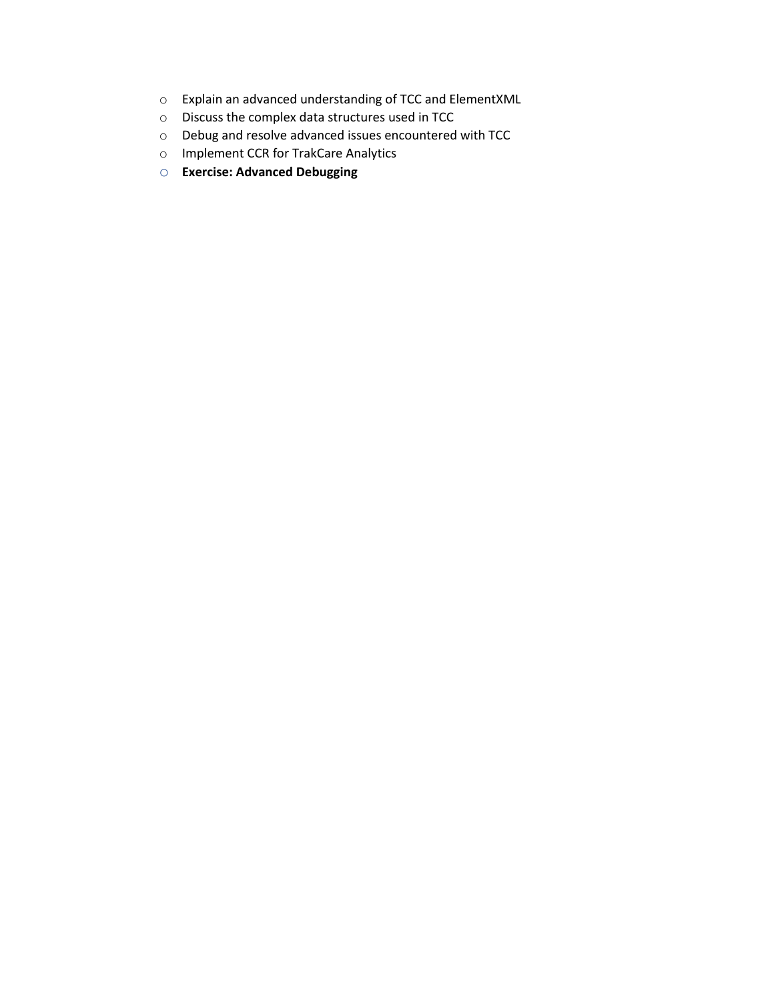- o Explain an advanced understanding of TCC and ElementXML
- o Discuss the complex data structures used in TCC
- o Debug and resolve advanced issues encountered with TCC
- o Implement CCR for TrakCare Analytics
- o **Exercise: Advanced Debugging**